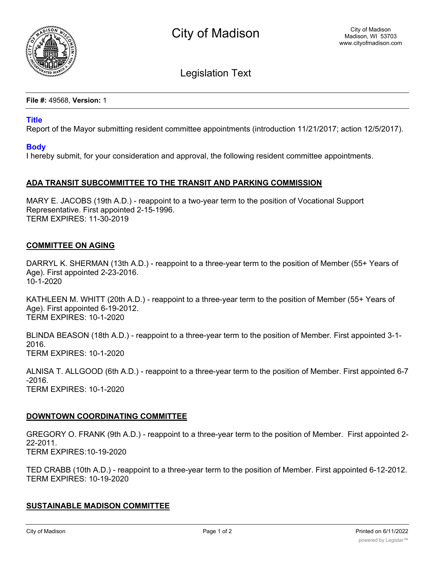

Legislation Text

**File #:** 49568, **Version:** 1

### **Title**

Report of the Mayor submitting resident committee appointments (introduction 11/21/2017; action 12/5/2017).

# **Body**

I hereby submit, for your consideration and approval, the following resident committee appointments.

# **ADA TRANSIT SUBCOMMITTEE TO THE TRANSIT AND PARKING COMMISSION**

MARY E. JACOBS (19th A.D.) - reappoint to a two-year term to the position of Vocational Support Representative. First appointed 2-15-1996. TERM EXPIRES: 11-30-2019

# **COMMITTEE ON AGING**

DARRYL K. SHERMAN (13th A.D.) - reappoint to a three-year term to the position of Member (55+ Years of Age). First appointed 2-23-2016. 10-1-2020

KATHLEEN M. WHITT (20th A.D.) - reappoint to a three-year term to the position of Member (55+ Years of Age). First appointed 6-19-2012. TERM EXPIRES: 10-1-2020

BLINDA BEASON (18th A.D.) - reappoint to a three-year term to the position of Member. First appointed 3-1- 2016. TERM EXPIRES: 10-1-2020

ALNISA T. ALLGOOD (6th A.D.) - reappoint to a three-year term to the position of Member. First appointed 6-7 -2016. TERM EXPIRES: 10-1-2020

# **DOWNTOWN COORDINATING COMMITTEE**

GREGORY O. FRANK (9th A.D.) - reappoint to a three-year term to the position of Member. First appointed 2- 22-2011. TERM EXPIRES:10-19-2020

TED CRABB (10th A.D.) - reappoint to a three-year term to the position of Member. First appointed 6-12-2012. TERM EXPIRES: 10-19-2020

# **SUSTAINABLE MADISON COMMITTEE**